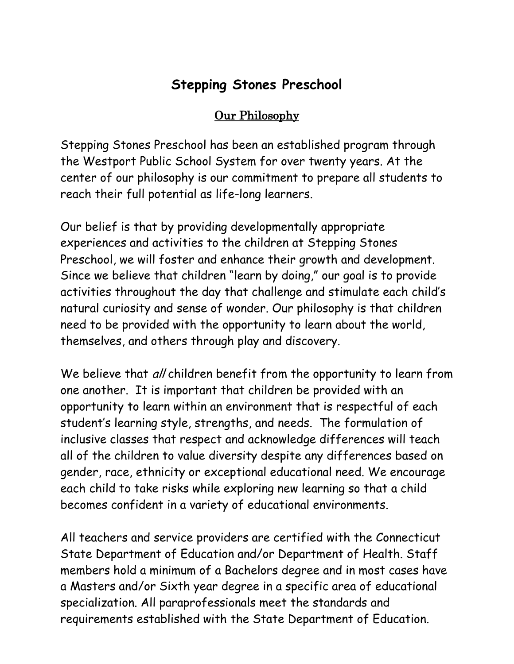# **Stepping Stones Preschool**

# Our Philosophy

Stepping Stones Preschool has been an established program through the Westport Public School System for over twenty years. At the center of our philosophy is our commitment to prepare all students to reach their full potential as life-long learners.

Our belief is that by providing developmentally appropriate experiences and activities to the children at Stepping Stones Preschool, we will foster and enhance their growth and development. Since we believe that children "learn by doing," our goal is to provide activities throughout the day that challenge and stimulate each child's natural curiosity and sense of wonder. Our philosophy is that children need to be provided with the opportunity to learn about the world, themselves, and others through play and discovery.

We believe that all children benefit from the opportunity to learn from one another. It is important that children be provided with an opportunity to learn within an environment that is respectful of each student's learning style, strengths, and needs. The formulation of inclusive classes that respect and acknowledge differences will teach all of the children to value diversity despite any differences based on gender, race, ethnicity or exceptional educational need. We encourage each child to take risks while exploring new learning so that a child becomes confident in a variety of educational environments.

All teachers and service providers are certified with the Connecticut State Department of Education and/or Department of Health. Staff members hold a minimum of a Bachelors degree and in most cases have a Masters and/or Sixth year degree in a specific area of educational specialization. All paraprofessionals meet the standards and requirements established with the State Department of Education.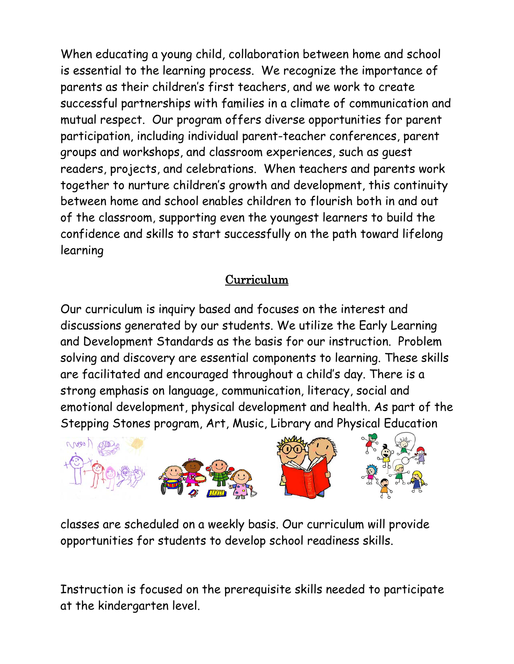When educating a young child, collaboration between home and school is essential to the learning process. We recognize the importance of parents as their children's first teachers, and we work to create successful partnerships with families in a climate of communication and mutual respect. Our program offers diverse opportunities for parent participation, including individual parent-teacher conferences, parent groups and workshops, and classroom experiences, such as guest readers, projects, and celebrations. When teachers and parents work together to nurture children's growth and development, this continuity between home and school enables children to flourish both in and out of the classroom, supporting even the youngest learners to build the confidence and skills to start successfully on the path toward lifelong learning

# Curriculum

Our curriculum is inquiry based and focuses on the interest and discussions generated by our students. We utilize the Early Learning and Development Standards as the basis for our instruction. Problem solving and discovery are essential components to learning. These skills are facilitated and encouraged throughout a child's day. There is a strong emphasis on language, communication, literacy, social and emotional development, physical development and health. As part of the Stepping Stones program, Art, Music, Library and Physical Education



classes are scheduled on a weekly basis. Our curriculum will provide opportunities for students to develop school readiness skills.

Instruction is focused on the prerequisite skills needed to participate at the kindergarten level.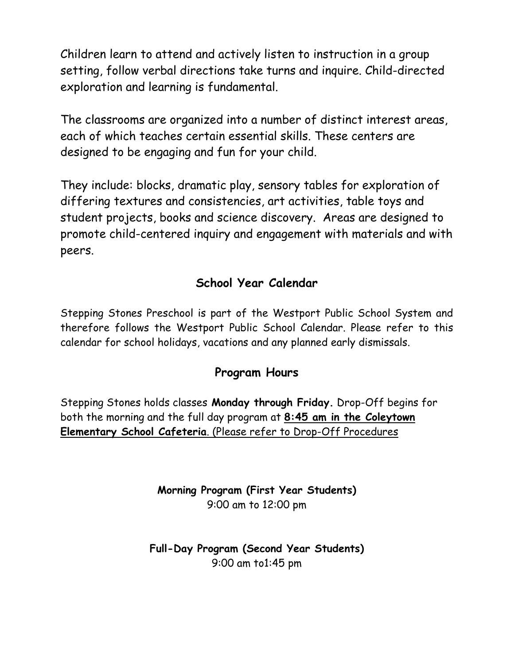Children learn to attend and actively listen to instruction in a group setting, follow verbal directions take turns and inquire. Child-directed exploration and learning is fundamental.

The classrooms are organized into a number of distinct interest areas, each of which teaches certain essential skills. These centers are designed to be engaging and fun for your child.

They include: blocks, dramatic play, sensory tables for exploration of differing textures and consistencies, art activities, table toys and student projects, books and science discovery. Areas are designed to promote child-centered inquiry and engagement with materials and with peers.

# **School Year Calendar**

Stepping Stones Preschool is part of the Westport Public School System and therefore follows the Westport Public School Calendar. Please refer to this calendar for school holidays, vacations and any planned early dismissals.

# **Program Hours**

Stepping Stones holds classes **Monday through Friday.** Drop-Off begins for both the morning and the full day program at **8:45 am in the Coleytown Elementary School Cafeteria**. (Please refer to Drop-Off Procedures

> **Morning Program (First Year Students)** 9:00 am to 12:00 pm

**Full-Day Program (Second Year Students)** 9:00 am to1:45 pm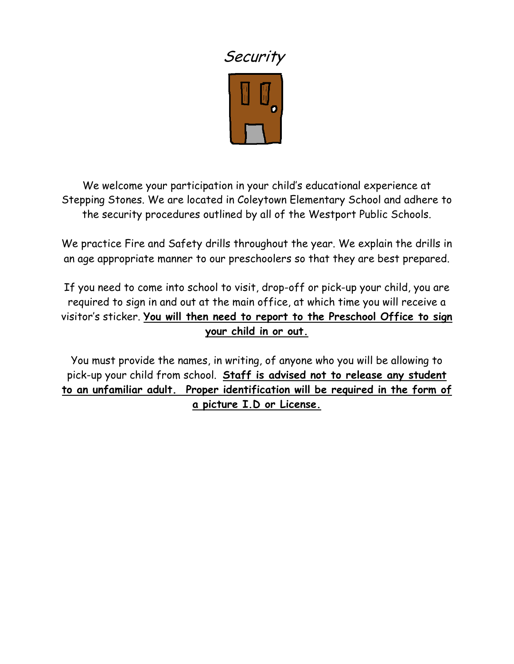

We welcome your participation in your child's educational experience at Stepping Stones. We are located in Coleytown Elementary School and adhere to the security procedures outlined by all of the Westport Public Schools.

We practice Fire and Safety drills throughout the year. We explain the drills in an age appropriate manner to our preschoolers so that they are best prepared.

If you need to come into school to visit, drop-off or pick-up your child, you are required to sign in and out at the main office, at which time you will receive a visitor's sticker. **You will then need to report to the Preschool Office to sign your child in or out.**

You must provide the names, in writing, of anyone who you will be allowing to pick-up your child from school. **Staff is advised not to release any student to an unfamiliar adult. Proper identification will be required in the form of a picture I.D or License.**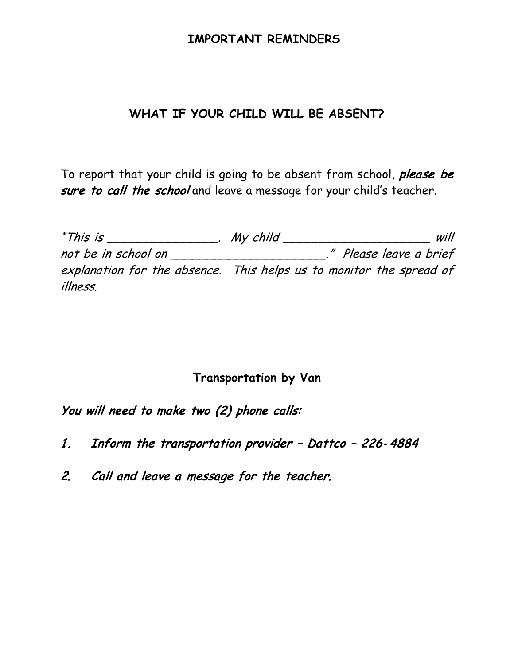## **IMPORTANT REMINDERS**

## **WHAT IF YOUR CHILD WILL BE ABSENT?**

To report that your child is going to be absent from school, please be sure to call the school and leave a message for your child's teacher.

"This is \_\_\_\_\_\_\_\_\_\_\_\_\_\_\_. My child \_\_\_\_\_\_\_\_\_\_\_\_\_\_\_\_\_\_\_\_ will not be in school on \_\_\_\_\_\_\_\_\_\_\_\_\_\_\_\_\_\_\_\_\_." Please leave a brief explanation for the absence. This helps us to monitor the spread of illness.

## **Transportation by Van**

You will need to make two (2) phone calls:

- 1. Inform the transportation provider Dattco 226-4884
- 2. Call and leave a message for the teacher.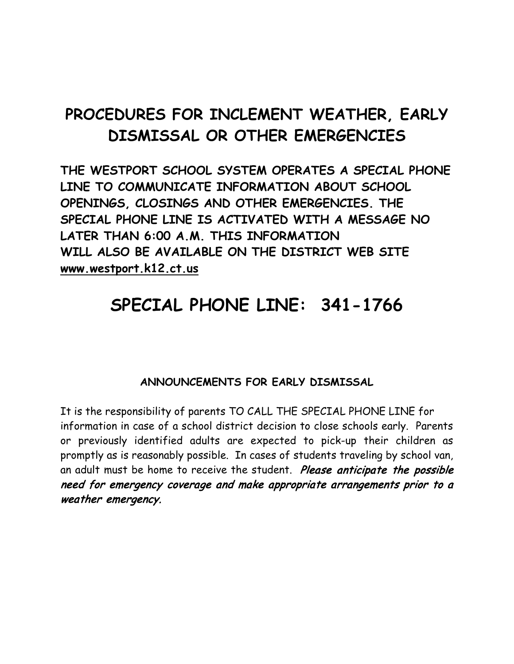# **PROCEDURES FOR INCLEMENT WEATHER, EARLY DISMISSAL OR OTHER EMERGENCIES**

**THE WESTPORT SCHOOL SYSTEM OPERATES A SPECIAL PHONE LINE TO COMMUNICATE INFORMATION ABOUT SCHOOL OPENINGS, CLOSINGS AND OTHER EMERGENCIES. THE SPECIAL PHONE LINE IS ACTIVATED WITH A MESSAGE NO LATER THAN 6:00 A.M. THIS INFORMATION WILL ALSO BE AVAILABLE ON THE DISTRICT WEB SITE www.westport.k12.ct.us**

# **SPECIAL PHONE LINE: 341-1766**

## **ANNOUNCEMENTS FOR EARLY DISMISSAL**

It is the responsibility of parents TO CALL THE SPECIAL PHONE LINE for information in case of a school district decision to close schools early. Parents or previously identified adults are expected to pick-up their children as promptly as is reasonably possible. In cases of students traveling by school van, an adult must be home to receive the student. Please anticipate the possible need for emergency coverage and make appropriate arrangements prior to a weather emergency.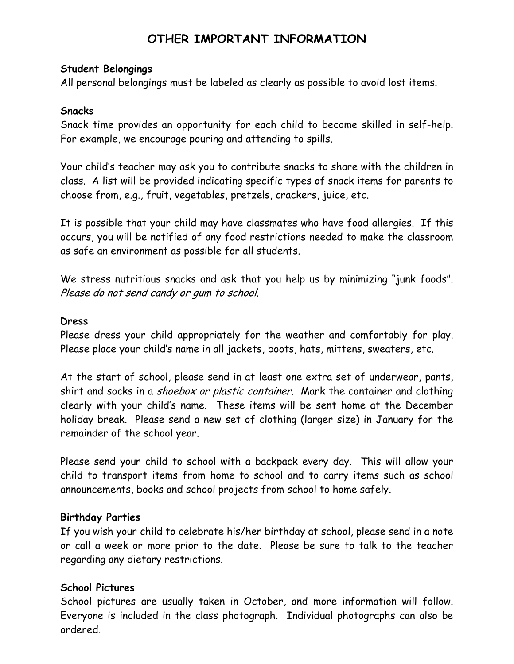# **OTHER IMPORTANT INFORMATION**

#### **Student Belongings**

All personal belongings must be labeled as clearly as possible to avoid lost items.

#### **Snacks**

Snack time provides an opportunity for each child to become skilled in self-help. For example, we encourage pouring and attending to spills.

Your child's teacher may ask you to contribute snacks to share with the children in class. A list will be provided indicating specific types of snack items for parents to choose from, e.g., fruit, vegetables, pretzels, crackers, juice, etc.

It is possible that your child may have classmates who have food allergies. If this occurs, you will be notified of any food restrictions needed to make the classroom as safe an environment as possible for all students.

We stress nutritious snacks and ask that you help us by minimizing "junk foods". Please do not send candy or gum to school.

#### **Dress**

Please dress your child appropriately for the weather and comfortably for play. Please place your child's name in all jackets, boots, hats, mittens, sweaters, etc.

At the start of school, please send in at least one extra set of underwear, pants, shirt and socks in a *shoebox or plastic container*. Mark the container and clothing clearly with your child's name. These items will be sent home at the December holiday break. Please send a new set of clothing (larger size) in January for the remainder of the school year.

Please send your child to school with a backpack every day. This will allow your child to transport items from home to school and to carry items such as school announcements, books and school projects from school to home safely.

#### **Birthday Parties**

If you wish your child to celebrate his/her birthday at school, please send in a note or call a week or more prior to the date. Please be sure to talk to the teacher regarding any dietary restrictions.

#### **School Pictures**

School pictures are usually taken in October, and more information will follow. Everyone is included in the class photograph. Individual photographs can also be ordered.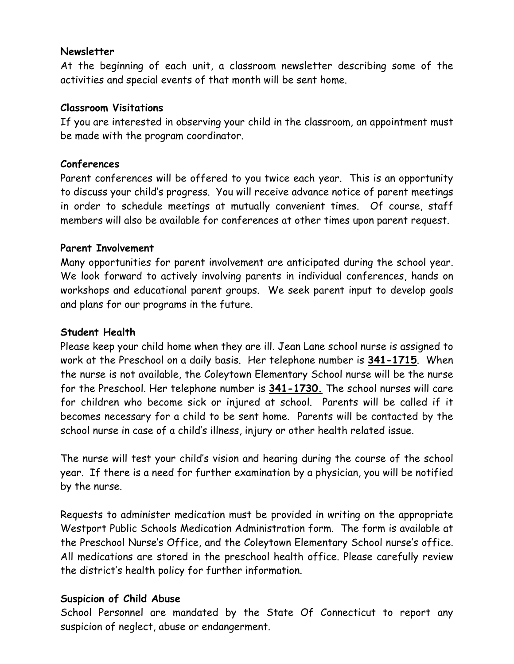#### **Newsletter**

At the beginning of each unit, a classroom newsletter describing some of the activities and special events of that month will be sent home.

### **Classroom Visitations**

If you are interested in observing your child in the classroom, an appointment must be made with the program coordinator.

### **Conferences**

Parent conferences will be offered to you twice each year. This is an opportunity to discuss your child's progress. You will receive advance notice of parent meetings in order to schedule meetings at mutually convenient times. Of course, staff members will also be available for conferences at other times upon parent request.

### **Parent Involvement**

Many opportunities for parent involvement are anticipated during the school year. We look forward to actively involving parents in individual conferences, hands on workshops and educational parent groups. We seek parent input to develop goals and plans for our programs in the future.

#### **Student Health**

Please keep your child home when they are ill. Jean Lane school nurse is assigned to work at the Preschool on a daily basis. Her telephone number is **341-1715**. When the nurse is not available, the Coleytown Elementary School nurse will be the nurse for the Preschool. Her telephone number is **341-1730.** The school nurses will care for children who become sick or injured at school. Parents will be called if it becomes necessary for a child to be sent home. Parents will be contacted by the school nurse in case of a child's illness, injury or other health related issue.

The nurse will test your child's vision and hearing during the course of the school year. If there is a need for further examination by a physician, you will be notified by the nurse.

Requests to administer medication must be provided in writing on the appropriate Westport Public Schools Medication Administration form. The form is available at the Preschool Nurse's Office, and the Coleytown Elementary School nurse's office. All medications are stored in the preschool health office. Please carefully review the district's health policy for further information.

#### **Suspicion of Child Abuse**

School Personnel are mandated by the State Of Connecticut to report any suspicion of neglect, abuse or endangerment.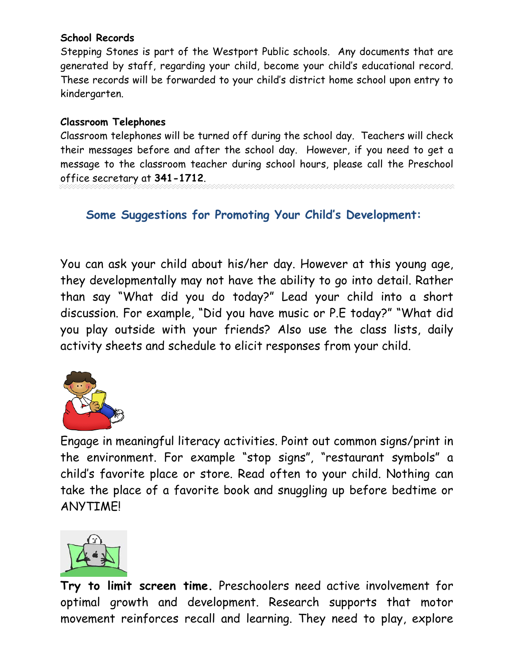## **School Records**

Stepping Stones is part of the Westport Public schools. Any documents that are generated by staff, regarding your child, become your child's educational record. These records will be forwarded to your child's district home school upon entry to kindergarten.

## **Classroom Telephones**

Classroom telephones will be turned off during the school day. Teachers will check their messages before and after the school day. However, if you need to get a message to the classroom teacher during school hours, please call the Preschool office secretary at **341-1712**.

## **Some Suggestions for Promoting Your Child's Development:**

You can ask your child about his/her day. However at this young age, they developmentally may not have the ability to go into detail. Rather than say "What did you do today?" Lead your child into a short discussion. For example, "Did you have music or P.E today?" "What did you play outside with your friends? Also use the class lists, daily activity sheets and schedule to elicit responses from your child.



Engage in meaningful literacy activities. Point out common signs/print in the environment. For example "stop signs", "restaurant symbols" a child's favorite place or store. Read often to your child. Nothing can take the place of a favorite book and snuggling up before bedtime or ANYTIME!



**Try to limit screen time.** Preschoolers need active involvement for optimal growth and development. Research supports that motor movement reinforces recall and learning. They need to play, explore